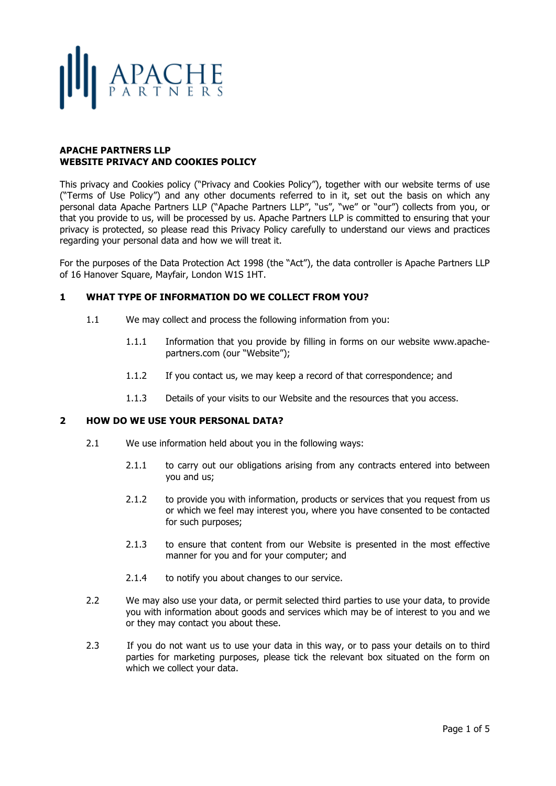# APACHE

### **APACHE PARTNERS LLP WEBSITE PRIVACY AND COOKIES POLICY**

This privacy and Cookies policy ("Privacy and Cookies Policy"), together with our website terms of use ("Terms of Use Policy") and any other documents referred to in it, set out the basis on which any personal data Apache Partners LLP ("Apache Partners LLP", "us", "we" or "our") collects from you, or that you provide to us, will be processed by us. Apache Partners LLP is committed to ensuring that your privacy is protected, so please read this Privacy Policy carefully to understand our views and practices regarding your personal data and how we will treat it.

For the purposes of the Data Protection Act 1998 (the "Act"), the data controller is Apache Partners LLP of 16 Hanover Square, Mayfair, London W1S 1HT.

## **1 WHAT TYPE OF INFORMATION DO WE COLLECT FROM YOU?**

- 1.1 We may collect and process the following information from you:
	- 1.1.1 Information that you provide by filling in forms on our website www.apachepartners.com (our "Website");
	- 1.1.2 If you contact us, we may keep a record of that correspondence; and
	- 1.1.3 Details of your visits to our Website and the resources that you access.

## **2 HOW DO WE USE YOUR PERSONAL DATA?**

- 2.1 We use information held about you in the following ways:
	- 2.1.1 to carry out our obligations arising from any contracts entered into between you and us;
	- 2.1.2 to provide you with information, products or services that you request from us or which we feel may interest you, where you have consented to be contacted for such purposes;
	- 2.1.3 to ensure that content from our Website is presented in the most effective manner for you and for your computer; and
	- 2.1.4 to notify you about changes to our service.
- 2.2 We may also use your data, or permit selected third parties to use your data, to provide you with information about goods and services which may be of interest to you and we or they may contact you about these.
- 2.3 If you do not want us to use your data in this way, or to pass your details on to third parties for marketing purposes, please tick the relevant box situated on the form on which we collect your data.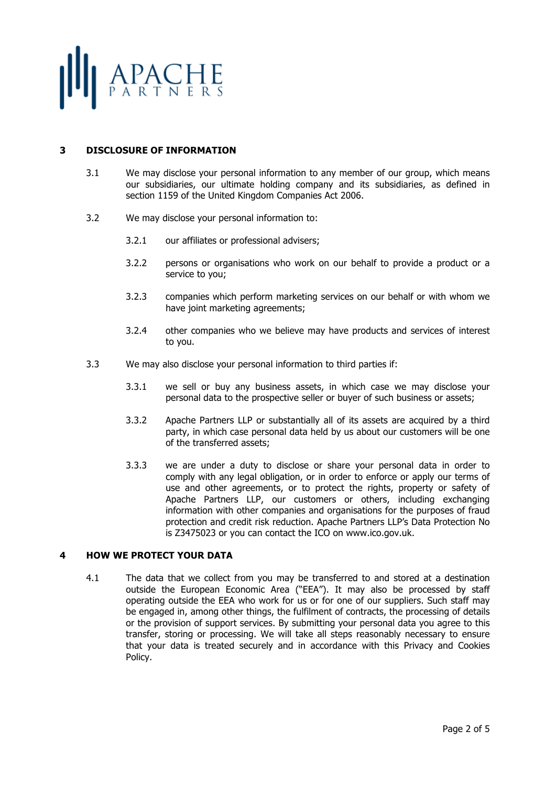

## **3 DISCLOSURE OF INFORMATION**

- 3.1 We may disclose your personal information to any member of our group, which means our subsidiaries, our ultimate holding company and its subsidiaries, as defined in section 1159 of the United Kingdom Companies Act 2006.
- 3.2 We may disclose your personal information to:
	- 3.2.1 our affiliates or professional advisers;
	- 3.2.2 persons or organisations who work on our behalf to provide a product or a service to you;
	- 3.2.3 companies which perform marketing services on our behalf or with whom we have joint marketing agreements;
	- 3.2.4 other companies who we believe may have products and services of interest to you.
- 3.3 We may also disclose your personal information to third parties if:
	- 3.3.1 we sell or buy any business assets, in which case we may disclose your personal data to the prospective seller or buyer of such business or assets;
	- 3.3.2 Apache Partners LLP or substantially all of its assets are acquired by a third party, in which case personal data held by us about our customers will be one of the transferred assets;
	- 3.3.3 we are under a duty to disclose or share your personal data in order to comply with any legal obligation, or in order to enforce or apply our terms of use and other agreements, or to protect the rights, property or safety of Apache Partners LLP, our customers or others, including exchanging information with other companies and organisations for the purposes of fraud protection and credit risk reduction. Apache Partners LLP's Data Protection No is Z3475023 or you can contact the ICO on www.ico.gov.uk.

#### **4 HOW WE PROTECT YOUR DATA**

4.1 The data that we collect from you may be transferred to and stored at a destination outside the European Economic Area ("EEA"). It may also be processed by staff operating outside the EEA who work for us or for one of our suppliers. Such staff may be engaged in, among other things, the fulfilment of contracts, the processing of details or the provision of support services. By submitting your personal data you agree to this transfer, storing or processing. We will take all steps reasonably necessary to ensure that your data is treated securely and in accordance with this Privacy and Cookies Policy.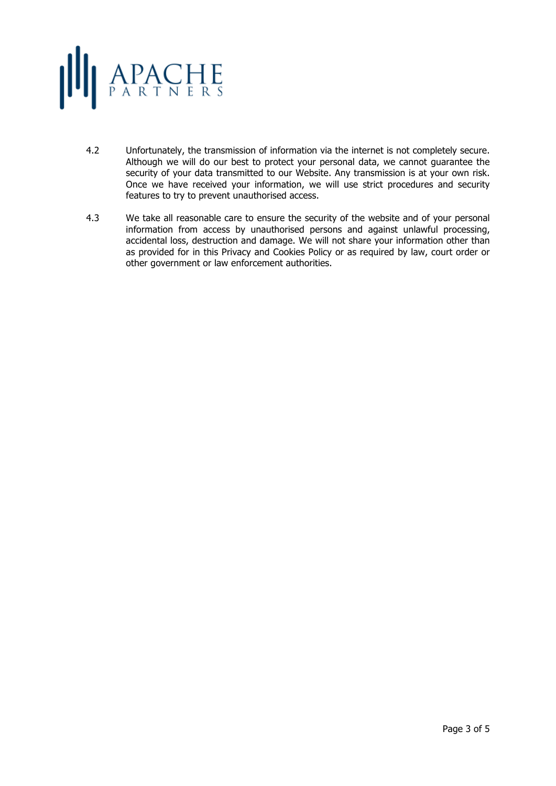

- 4.2 Unfortunately, the transmission of information via the internet is not completely secure. Although we will do our best to protect your personal data, we cannot guarantee the security of your data transmitted to our Website. Any transmission is at your own risk. Once we have received your information, we will use strict procedures and security features to try to prevent unauthorised access.
- 4.3 We take all reasonable care to ensure the security of the website and of your personal information from access by unauthorised persons and against unlawful processing, accidental loss, destruction and damage. We will not share your information other than as provided for in this Privacy and Cookies Policy or as required by law, court order or other government or law enforcement authorities.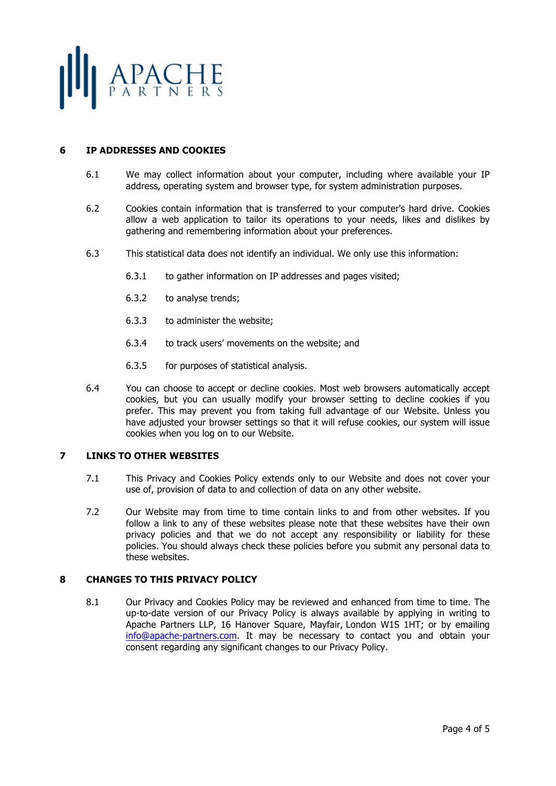

## **6 IP ADDRESSES AND COOKIES**

- 6.1 We may collect information about your computer, including where available your IP address, operating system and browser type, for system administration purposes.
- 6.2 Cookies contain information that is transferred to your computer's hard drive. Cookies allow a web application to tailor its operations to your needs, likes and dislikes by gathering and remembering information about your preferences.
- 6.3 This statistical data does not identify an individual. We only use this information:
	- 6.3.1 to gather information on IP addresses and pages visited;
	- 6.3.2 to analyse trends;
	- 6.3.3 to administer the website;
	- 6.3.4 to track users' movements on the website; and
	- 6.3.5 for purposes of statistical analysis.
- 6.4 You can choose to accept or decline cookies. Most web browsers automatically accept cookies, but you can usually modify your browser setting to decline cookies if you prefer. This may prevent you from taking full advantage of our Website. Unless you have adjusted your browser settings so that it will refuse cookies, our system will issue cookies when you log on to our Website.

## **7 LINKS TO OTHER WEBSITES**

- 7.1 This Privacy and Cookies Policy extends only to our Website and does not cover your use of, provision of data to and collection of data on any other website.
- 7.2 Our Website may from time to time contain links to and from other websites. If you follow a link to any of these websites please note that these websites have their own privacy policies and that we do not accept any responsibility or liability for these policies. You should always check these policies before you submit any personal data to these websites.

## **8 CHANGES TO THIS PRIVACY POLICY**

8.1 Our Privacy and Cookies Policy may be reviewed and enhanced from time to time. The up-to-date version of our Privacy Policy is always available by applying in writing to Apache Partners LLP, 16 Hanover Square, Mayfair, London W1S 1HT; or by emailing info@apache-partners.com. It may be necessary to contact you and obtain your consent regarding any significant changes to our Privacy Policy.